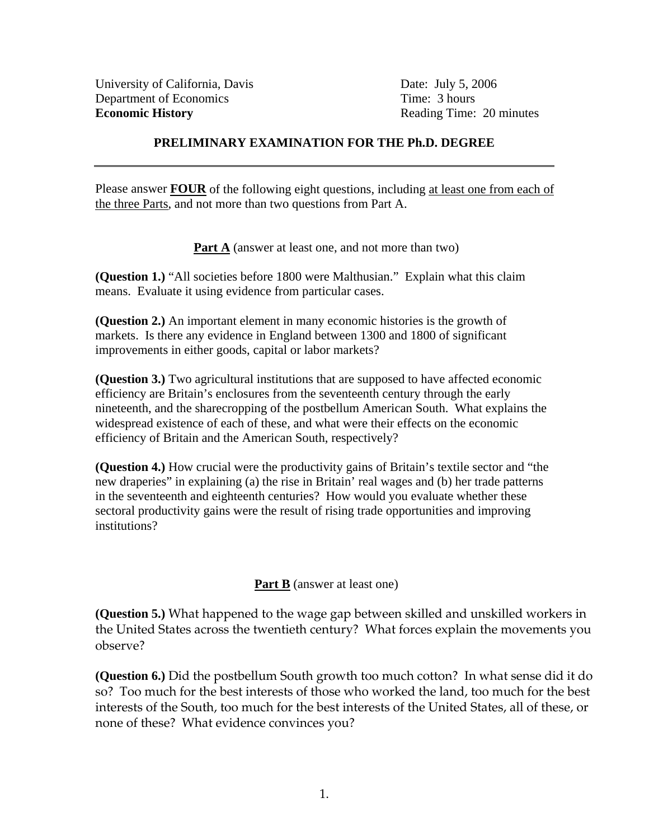## **PRELIMINARY EXAMINATION FOR THE Ph.D. DEGREE**

Please answer **FOUR** of the following eight questions, including at least one from each of the three Parts, and not more than two questions from Part A.

**Part A** (answer at least one, and not more than two)

**(Question 1.)** "All societies before 1800 were Malthusian." Explain what this claim means. Evaluate it using evidence from particular cases.

**(Question 2.)** An important element in many economic histories is the growth of markets. Is there any evidence in England between 1300 and 1800 of significant improvements in either goods, capital or labor markets?

**(Question 3.)** Two agricultural institutions that are supposed to have affected economic efficiency are Britain's enclosures from the seventeenth century through the early nineteenth, and the sharecropping of the postbellum American South. What explains the widespread existence of each of these, and what were their effects on the economic efficiency of Britain and the American South, respectively?

**(Question 4.)** How crucial were the productivity gains of Britain's textile sector and "the new draperies" in explaining (a) the rise in Britain' real wages and (b) her trade patterns in the seventeenth and eighteenth centuries? How would you evaluate whether these sectoral productivity gains were the result of rising trade opportunities and improving institutions?

## **Part B** (answer at least one)

**(Question 5.)** What happened to the wage gap between skilled and unskilled workers in the United States across the twentieth century? What forces explain the movements you observe?

**(Question 6.)** Did the postbellum South growth too much cotton? In what sense did it do so? Too much for the best interests of those who worked the land, too much for the best interests of the South, too much for the best interests of the United States, all of these, or none of these? What evidence convinces you?